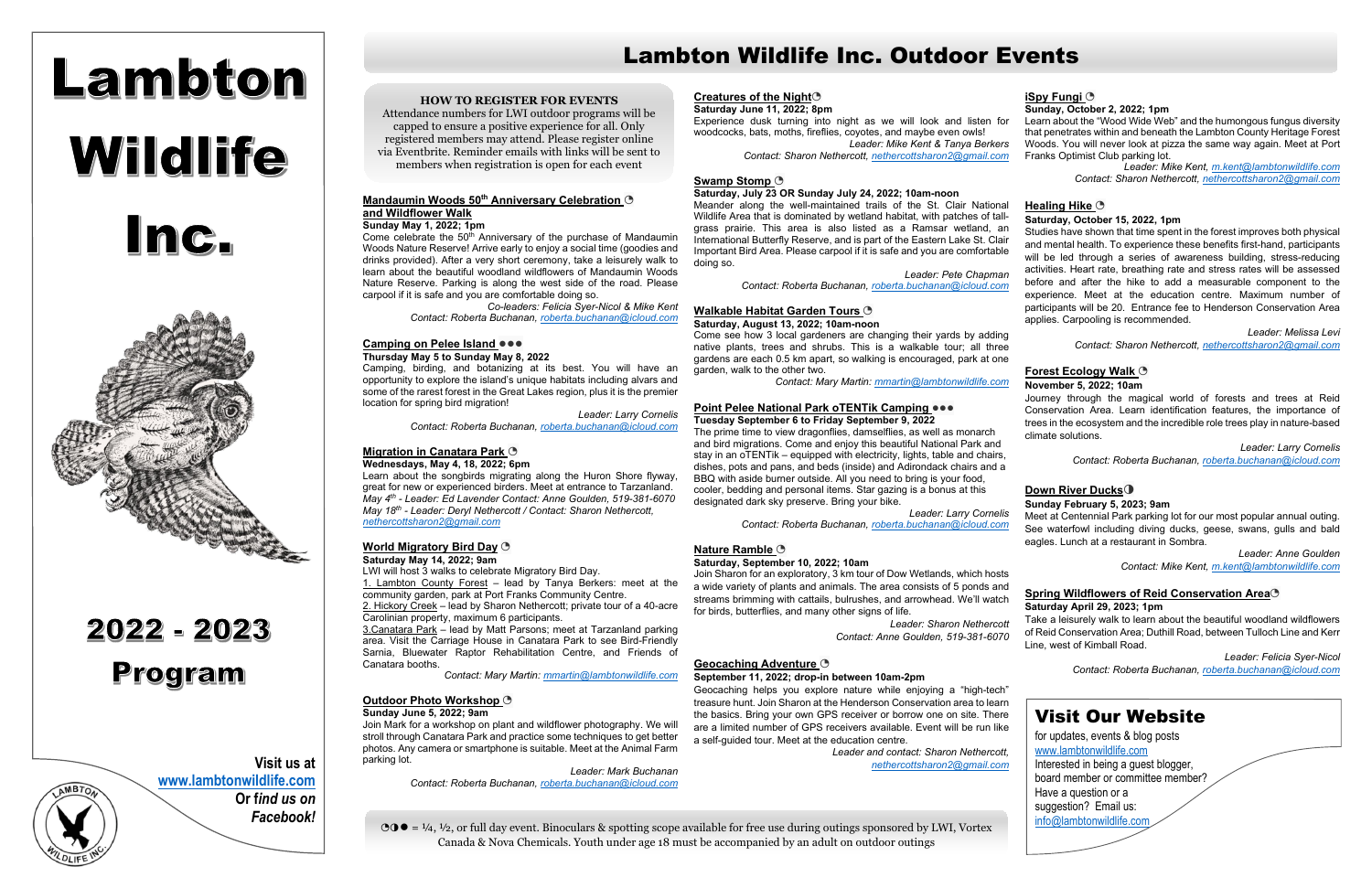# Lambton Wildlife Inc.



## 2022 - 2023 Program



#### **Mandaumin Woods 50th Anniversary Celebration** ◔ **and Wildflower Walk**

#### **Sunday May 1, 2022; 1pm**

Come celebrate the 50<sup>th</sup> Anniversary of the purchase of Mandaumin Woods Nature Reserve! Arrive early to enjoy a social time (goodies and drinks provided). After a very short ceremony, take a leisurely walk to learn about the beautiful woodland wildflowers of Mandaumin Woods Nature Reserve. Parking is along the west side of the road. Please carpool if it is safe and you are comfortable doing so.

*Co-leaders: Felicia Syer-Nicol & Mike Kent Contact: Roberta Buchanan, [roberta.buchanan@icloud.com](https://d.docs.live.net/41d8c7e3c34298f0/LWI%20%5e0%20Ontario%20Nature/roberta.buchanan@icloud.com)*

#### **Camping on Pelee Island** ●●●

#### **Thursday May 5 to Sunday May 8, 2022**

Camping, birding, and botanizing at its best. You will have an opportunity to explore the island's unique habitats including alvars and some of the rarest forest in the Great Lakes region, plus it is the premier location for spring bird migration!

*Leader: Larry Cornelis* 

*Contact: Roberta Buchanan, [roberta.buchanan@icloud.com](https://d.docs.live.net/41d8c7e3c34298f0/LWI%20%5e0%20Ontario%20Nature/roberta.buchanan@icloud.com)*

#### **Migration in Canatara Park** ◔ **Wednesdays, May 4, 18, 2022; 6pm**

Learn about the songbirds migrating along the Huron Shore flyway, great for new or experienced birders. Meet at entrance to Tarzanland. *May 4th - Leader: Ed Lavender Contact: Anne Goulden, 519-381-6070 May 18th - Leader: Deryl Nethercott / Contact: Sharon Nethercott, [nethercottsharon2@gmail.com](https://d.docs.live.net/41d8c7e3c34298f0/LWI%20%5e0%20Ontario%20Nature/nethercottsharon2@gmail.com)*

#### **World Migratory Bird Day** ◔ **Saturday May 14, 2022; 9am**

LWI will host 3 walks to celebrate Migratory Bird Day.

1. Lambton County Forest – lead by Tanya Berkers: meet at the community garden, park at Port Franks Community Centre.

2. Hickory Creek – lead by Sharon Nethercott; private tour of a 40-acre Carolinian property, maximum 6 participants.

3.Canatara Park – lead by Matt Parsons; meet at Tarzanland parking area. Visit the Carriage House in Canatara Park to see Bird-Friendly Sarnia, Bluewater Raptor Rehabilitation Centre, and Friends of Canatara booths.

*Contact: Mary Martin[: mmartin@lambtonwildlife.com](https://d.docs.live.net/41d8c7e3c34298f0/LWI%20%5e0%20Ontario%20Nature/mmartin@lambtonwildlife.com)*

#### **Outdoor Photo Workshop** ◔

#### **Sunday June 5, 2022; 9am**

Join Mark for a workshop on plant and wildflower photography. We will stroll through Canatara Park and practice some techniques to get better photos. Any camera or smartphone is suitable. Meet at the Animal Farm parking lot.

> *Leader: Mark Buchanan Contact: Roberta Buchanan, [roberta.buchanan@icloud.com](https://d.docs.live.net/41d8c7e3c34298f0/LWI%20%5e0%20Ontario%20Nature/roberta.buchanan@icloud.com)*

#### **Creatures of the Night**◔

#### **Saturday June 11, 2022; 8pm**

#### **Saturday, July 23 OR Sunday July 24, 2022; 10am-noon**

Meander along the well-maintained trails of the St. Clair National Wildlife Area that is dominated by wetland habitat, with patches of tallgrass prairie. This area is also listed as a Ramsar wetland, an International Butterfly Reserve, and is part of the Eastern Lake St. Clair Important Bird Area. Please carpool if it is safe and you are comfortable doing so.

#### **Walkable Habitat Garden Tours** ◔

#### **Saturday, August 13, 2022; 10am-noon**

Come see how 3 local gardeners are changing their yards by adding native plants, trees and shrubs. This is a walkable tour; all three gardens are each 0.5 km apart, so walking is encouraged, park at one garden, walk to the other two.

*Contact: Mary Martin: [mmartin@lambtonwildlife.com](https://d.docs.live.net/41d8c7e3c34298f0/LWI%20%5e0%20Ontario%20Nature/mmartin@lambtonwildlife.com)*

#### **Point Pelee National Park oTENTik Camping** ●●●

#### **Tuesday September 6 to Friday September 9, 2022**

The prime time to view dragonflies, damselflies, as well as monarch and bird migrations. Come and enjoy this beautiful National Park and stay in an oTENTik – equipped with electricity, lights, table and chairs, dishes, pots and pans, and beds (inside) and Adirondack chairs and a BBQ with aside burner outside. All you need to bring is your food, cooler, bedding and personal items. Star gazing is a bonus at this designated dark sky preserve. Bring your bike.

Experience dusk turning into night as we will look and listen for woodcocks, bats, moths, fireflies, coyotes, and maybe even owls! *Leader: Mike Kent & Tanya Berkers Contact: Sharon Nethercott, [nethercottsharon2@gmail.com](https://d.docs.live.net/41d8c7e3c34298f0/LWI%20%5e0%20Ontario%20Nature/nethercottsharon2@gmail.com)* Learn about the "Wood Wide Web" and the humongous fungus diversity that penetrates within and beneath the Lambton County Heritage Forest Woods. You will never look at pizza the same way again. Meet at Port Franks Optimist Club parking lot.

#### Swamp Stomp<sup></sup> **B**

 $\odot$  $\odot$  **=**  $\frac{1}{4}$ ,  $\frac{1}{2}$ , or full day event. Binoculars & spotting scope available for free use during outings sponsored by LWI, Vortex Canada & Nova Chemicals. Youth under age 18 must be accompanied by an adult on outdoor outings

#### **Nature Ramble** ◔

#### **Saturday, September 10, 2022; 10am**

Join Sharon for an exploratory, 3 km tour of Dow Wetlands, which hosts a wide variety of plants and animals. The area consists of 5 ponds and streams brimming with cattails, bulrushes, and arrowhead. We'll watch for birds, butterflies, and many other signs of life.

> *Leader: Sharon Nethercott Contact: Anne Goulden, 519-381-6070*

*Leader: Pete Chapman Contact: Roberta Buchanan, [roberta.buchanan@icloud.com](https://d.docs.live.net/41d8c7e3c34298f0/LWI%20%5e0%20Ontario%20Nature/roberta.buchanan@icloud.com)* Studies have shown that time spent in the forest improves both physical and mental health. To experience these benefits first-hand, participants will be led through a series of awareness building, stress-reducing activities. Heart rate, breathing rate and stress rates will be assessed before and after the hike to add a measurable component to the experience. Meet at the education centre. Maximum number of participants will be 20. Entrance fee to Henderson Conservation Area applies. Carpooling is recommended.

#### **Geocaching Adventure** ◔

#### **September 11, 2022; drop-in between 10am-2pm**

Geocaching helps you explore nature while enjoying a "high-tech" treasure hunt. Join Sharon at the Henderson Conservation area to learn the basics. Bring your own GPS receiver or borrow one on site. There are a limited number of GPS receivers available. Event will be run like a self-guided tour. Meet at the education centre.

*Leader and contact: Sharon Nethercott, [nethercottsharon2@gmail.com](https://d.docs.live.net/41d8c7e3c34298f0/LWI%20%5e0%20Ontario%20Nature/nethercottsharon2@gmail.com)*

#### **iSpy Fungi** ◔

#### **Sunday, October 2, 2022; 1pm**

*Leader: Mike Kent, [m.kent@lambtonwildlife.com](mailto:m.kent@lambtonwildlife.com) Contact: Sharon Nethercott, [nethercottsharon2@gmail.com](https://d.docs.live.net/41d8c7e3c34298f0/LWI%20%5e0%20Ontario%20Nature/nethercottsharon2@gmail.com)*

*Leader: Larry Cornelis Contact: Roberta Buchanan, [roberta.buchanan@icloud.com](https://d.docs.live.net/41d8c7e3c34298f0/LWI%20%5e0%20Ontario%20Nature/roberta.buchanan@icloud.com)* Meet at Centennial Park parking lot for our most popular annual outing. See waterfowl including diving ducks, geese, swans, gulls and bald eagles. Lunch at a restaurant in Sombra.

#### **Healing Hike** ◔

#### **Saturday, October 15, 2022, 1pm**

*Leader: Melissa Levi Contact: Sharon Nethercott, [nethercottsharon2@gmail.com](https://d.docs.live.net/41d8c7e3c34298f0/LWI%20%5e0%20Ontario%20Nature/nethercottsharon2@gmail.com)*

#### **Forest Ecology Walk** ◔

#### **November 5, 2022; 10am**

Journey through the magical world of forests and trees at Reid Conservation Area. Learn identification features, the importance of trees in the ecosystem and the incredible role trees play in nature-based climate solutions.

*Leader: Larry Cornelis Contact: Roberta Buchanan, [roberta.buchanan@icloud.com](https://d.docs.live.net/41d8c7e3c34298f0/LWI%20%5e0%20Ontario%20Nature/roberta.buchanan@icloud.com)*

#### **Down River Ducks**◑

#### **Sunday February 5, 2023; 9am**

*Leader: Anne Goulden Contact: Mike Kent, [m.kent@lambtonwildlife.com](https://d.docs.live.net/41d8c7e3c34298f0/LWI%20%5e0%20Ontario%20Nature/m.kent@lambtonwildlife.com)*

#### **Spring Wildflowers of Reid Conservation Area**◔

#### **Saturday April 29, 2023; 1pm**

Take a leisurely walk to learn about the beautiful woodland wildflowers of Reid Conservation Area; Duthill Road, between Tulloch Line and Kerr Line, west of Kimball Road.

*Leader: Felicia Syer-Nicol Contact: Roberta Buchanan, [roberta.buchanan@icloud.com](https://d.docs.live.net/41d8c7e3c34298f0/LWI%20%5e0%20Ontario%20Nature/roberta.buchanan@icloud.com)*



**[www.lambtonwildlife.com](https://d.docs.live.net/41d8c7e3c34298f0/LWI%20%5e0%20Ontario%20Nature/www.lambtonwildlife.com) Or f***ind us on Facebook!*

## Lambton Wildlife Inc. Outdoor Events

### Visit Our Website

for updates, events & blog posts [www.lambtonwildlife.com](https://d.docs.live.net/41d8c7e3c34298f0/LWI%20%5e0%20Ontario%20Nature/www.lambtonwildlife.com) Interested in being a guest blogger, board member or committee member? Have a question or a suggestion? Email us: [info@lambtonwildlife.com](https://d.docs.live.net/41d8c7e3c34298f0/LWI%20%5e0%20Ontario%20Nature/info@lambtonwildlife.com)

#### **HOW TO REGISTER FOR EVENTS**

Attendance numbers for LWI outdoor programs will be capped to ensure a positive experience for all. Only registered members may attend. Please register online via Eventbrite. Reminder emails with links will be sent to members when registration is open for each event